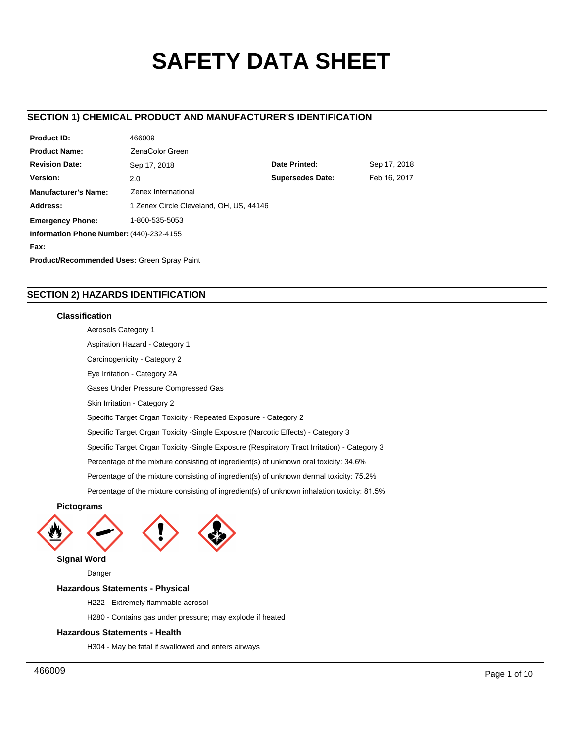# **SAFETY DATA SHEET**

### **SECTION 1) CHEMICAL PRODUCT AND MANUFACTURER'S IDENTIFICATION**

| <b>Product ID:</b>                                 | 466009                                         |               |              |  |  |
|----------------------------------------------------|------------------------------------------------|---------------|--------------|--|--|
| <b>Product Name:</b>                               | ZenaColor Green                                |               |              |  |  |
| <b>Revision Date:</b>                              | Sep 17, 2018                                   | Date Printed: | Sep 17, 2018 |  |  |
| Version:                                           | Feb 16, 2017<br><b>Supersedes Date:</b><br>2.0 |               |              |  |  |
| <b>Manufacturer's Name:</b>                        | Zenex International                            |               |              |  |  |
| Address:                                           | 1 Zenex Circle Cleveland, OH, US, 44146        |               |              |  |  |
| <b>Emergency Phone:</b>                            | 1-800-535-5053                                 |               |              |  |  |
| Information Phone Number: (440)-232-4155           |                                                |               |              |  |  |
| Fax:                                               |                                                |               |              |  |  |
| <b>Product/Recommended Uses: Green Spray Paint</b> |                                                |               |              |  |  |

### **SECTION 2) HAZARDS IDENTIFICATION**

 $10000000$ 

### **Classification**

Aerosols Category 1 Aspiration Hazard - Category 1 Carcinogenicity - Category 2 Eye Irritation - Category 2A Gases Under Pressure Compressed Gas Skin Irritation - Category 2 Specific Target Organ Toxicity - Repeated Exposure - Category 2 Specific Target Organ Toxicity -Single Exposure (Narcotic Effects) - Category 3 Specific Target Organ Toxicity -Single Exposure (Respiratory Tract Irritation) - Category 3 Percentage of the mixture consisting of ingredient(s) of unknown oral toxicity: 34.6% Percentage of the mixture consisting of ingredient(s) of unknown dermal toxicity: 75.2% Percentage of the mixture consisting of ingredient(s) of unknown inhalation toxicity: 81.5%

### **Pictograms**





**Signal Word**

Danger

### **Hazardous Statements - Physical**

H222 - Extremely flammable aerosol

H280 - Contains gas under pressure; may explode if heated

### **Hazardous Statements - Health**

H304 - May be fatal if swallowed and enters airways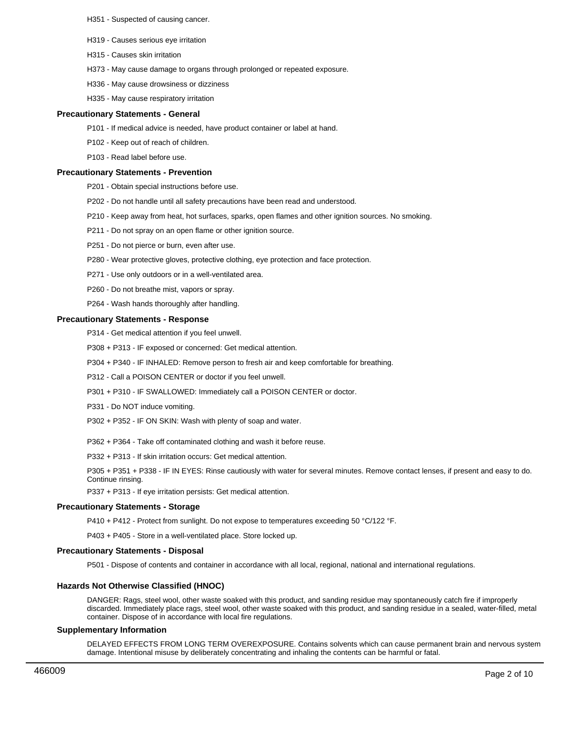H351 - Suspected of causing cancer.

- H319 Causes serious eye irritation
- H315 Causes skin irritation
- H373 May cause damage to organs through prolonged or repeated exposure.
- H336 May cause drowsiness or dizziness
- H335 May cause respiratory irritation

### **Precautionary Statements - General**

- P101 If medical advice is needed, have product container or label at hand.
- P102 Keep out of reach of children.
- P103 Read label before use.

#### **Precautionary Statements - Prevention**

- P201 Obtain special instructions before use.
- P202 Do not handle until all safety precautions have been read and understood.
- P210 Keep away from heat, hot surfaces, sparks, open flames and other ignition sources. No smoking.
- P211 Do not spray on an open flame or other ignition source.
- P251 Do not pierce or burn, even after use.
- P280 Wear protective gloves, protective clothing, eye protection and face protection.
- P271 Use only outdoors or in a well-ventilated area.
- P260 Do not breathe mist, vapors or spray.
- P264 Wash hands thoroughly after handling.

### **Precautionary Statements - Response**

- P314 Get medical attention if you feel unwell.
- P308 + P313 IF exposed or concerned: Get medical attention.
- P304 + P340 IF INHALED: Remove person to fresh air and keep comfortable for breathing.
- P312 Call a POISON CENTER or doctor if you feel unwell.
- P301 + P310 IF SWALLOWED: Immediately call a POISON CENTER or doctor.
- P331 Do NOT induce vomiting.
- P302 + P352 IF ON SKIN: Wash with plenty of soap and water.
- P362 + P364 Take off contaminated clothing and wash it before reuse.
- P332 + P313 If skin irritation occurs: Get medical attention.

P305 + P351 + P338 - IF IN EYES: Rinse cautiously with water for several minutes. Remove contact lenses, if present and easy to do. Continue rinsing.

P337 + P313 - If eye irritation persists: Get medical attention.

#### **Precautionary Statements - Storage**

P410 + P412 - Protect from sunlight. Do not expose to temperatures exceeding 50 °C/122 °F.

P403 + P405 - Store in a well-ventilated place. Store locked up.

### **Precautionary Statements - Disposal**

P501 - Dispose of contents and container in accordance with all local, regional, national and international regulations.

### **Hazards Not Otherwise Classified (HNOC)**

DANGER: Rags, steel wool, other waste soaked with this product, and sanding residue may spontaneously catch fire if improperly discarded. Immediately place rags, steel wool, other waste soaked with this product, and sanding residue in a sealed, water-filled, metal container. Dispose of in accordance with local fire regulations.

#### **Supplementary Information**

DELAYED EFFECTS FROM LONG TERM OVEREXPOSURE. Contains solvents which can cause permanent brain and nervous system damage. Intentional misuse by deliberately concentrating and inhaling the contents can be harmful or fatal.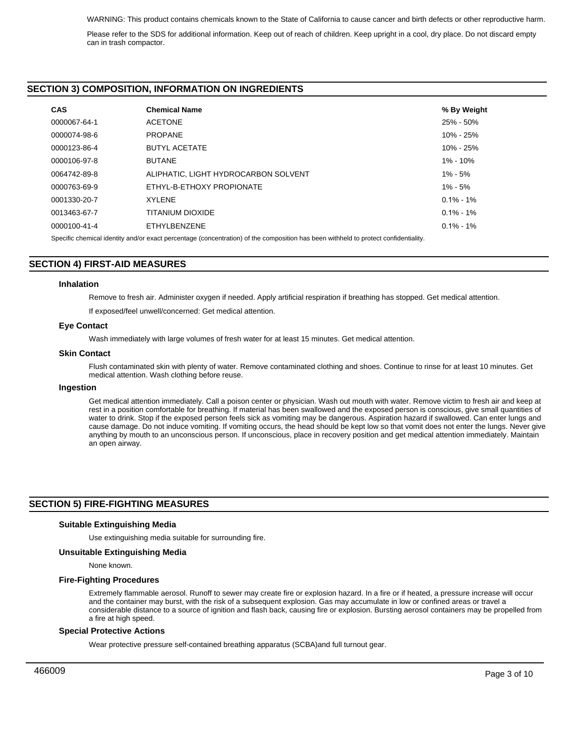Please refer to the SDS for additional information. Keep out of reach of children. Keep upright in a cool, dry place. Do not discard empty can in trash compactor.

### **SECTION 3) COMPOSITION, INFORMATION ON INGREDIENTS**

| <b>CAS</b>   | <b>Chemical Name</b>                 | % By Weight   |
|--------------|--------------------------------------|---------------|
| 0000067-64-1 | <b>ACETONE</b>                       | 25% - 50%     |
| 0000074-98-6 | <b>PROPANE</b>                       | 10% - 25%     |
| 0000123-86-4 | <b>BUTYL ACETATE</b>                 | 10% - 25%     |
| 0000106-97-8 | <b>BUTANE</b>                        | 1% - 10%      |
| 0064742-89-8 | ALIPHATIC, LIGHT HYDROCARBON SOLVENT | $1\% - 5\%$   |
| 0000763-69-9 | ETHYL-B-ETHOXY PROPIONATE            | $1\% - 5\%$   |
| 0001330-20-7 | <b>XYLENE</b>                        | $0.1\% - 1\%$ |
| 0013463-67-7 | TITANIUM DIOXIDE                     | $0.1\% - 1\%$ |
| 0000100-41-4 | ETHYLBENZENE                         | $0.1\% - 1\%$ |

Specific chemical identity and/or exact percentage (concentration) of the composition has been withheld to protect confidentiality.

### **SECTION 4) FIRST-AID MEASURES**

#### **Inhalation**

Remove to fresh air. Administer oxygen if needed. Apply artificial respiration if breathing has stopped. Get medical attention.

If exposed/feel unwell/concerned: Get medical attention.

#### **Eye Contact**

Wash immediately with large volumes of fresh water for at least 15 minutes. Get medical attention.

### **Skin Contact**

Flush contaminated skin with plenty of water. Remove contaminated clothing and shoes. Continue to rinse for at least 10 minutes. Get medical attention. Wash clothing before reuse.

### **Ingestion**

Get medical attention immediately. Call a poison center or physician. Wash out mouth with water. Remove victim to fresh air and keep at rest in a position comfortable for breathing. If material has been swallowed and the exposed person is conscious, give small quantities of water to drink. Stop if the exposed person feels sick as vomiting may be dangerous. Aspiration hazard if swallowed. Can enter lungs and cause damage. Do not induce vomiting. If vomiting occurs, the head should be kept low so that vomit does not enter the lungs. Never give anything by mouth to an unconscious person. If unconscious, place in recovery position and get medical attention immediately. Maintain an open airway.

### **SECTION 5) FIRE-FIGHTING MEASURES**

### **Suitable Extinguishing Media**

Use extinguishing media suitable for surrounding fire.

### **Unsuitable Extinguishing Media**

None known.

#### **Fire-Fighting Procedures**

Extremely flammable aerosol. Runoff to sewer may create fire or explosion hazard. In a fire or if heated, a pressure increase will occur and the container may burst, with the risk of a subsequent explosion. Gas may accumulate in low or confined areas or travel a considerable distance to a source of ignition and flash back, causing fire or explosion. Bursting aerosol containers may be propelled from a fire at high speed.

#### **Special Protective Actions**

Wear protective pressure self-contained breathing apparatus (SCBA)and full turnout gear.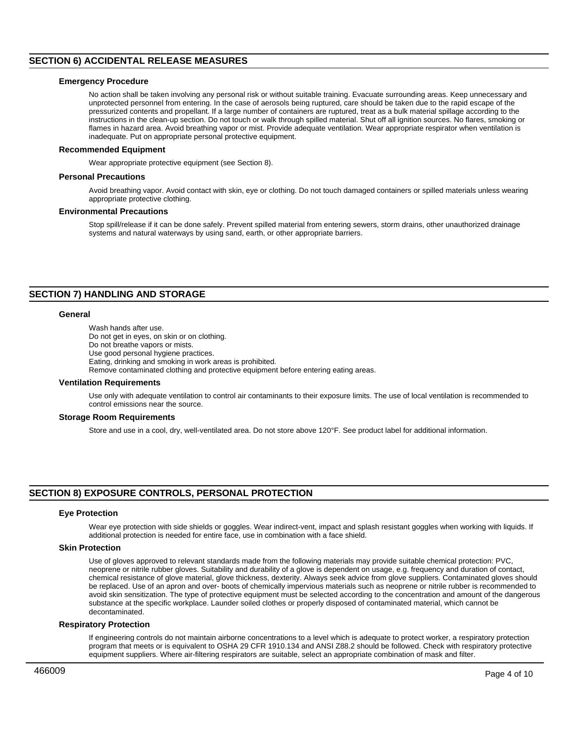### **SECTION 6) ACCIDENTAL RELEASE MEASURES**

### **Emergency Procedure**

No action shall be taken involving any personal risk or without suitable training. Evacuate surrounding areas. Keep unnecessary and unprotected personnel from entering. In the case of aerosols being ruptured, care should be taken due to the rapid escape of the pressurized contents and propellant. If a large number of containers are ruptured, treat as a bulk material spillage according to the instructions in the clean-up section. Do not touch or walk through spilled material. Shut off all ignition sources. No flares, smoking or flames in hazard area. Avoid breathing vapor or mist. Provide adequate ventilation. Wear appropriate respirator when ventilation is inadequate. Put on appropriate personal protective equipment.

### **Recommended Equipment**

Wear appropriate protective equipment (see Section 8).

#### **Personal Precautions**

Avoid breathing vapor. Avoid contact with skin, eye or clothing. Do not touch damaged containers or spilled materials unless wearing appropriate protective clothing.

### **Environmental Precautions**

Stop spill/release if it can be done safely. Prevent spilled material from entering sewers, storm drains, other unauthorized drainage systems and natural waterways by using sand, earth, or other appropriate barriers.

### **SECTION 7) HANDLING AND STORAGE**

### **General**

Wash hands after use. Do not get in eyes, on skin or on clothing. Do not breathe vapors or mists. Use good personal hygiene practices. Eating, drinking and smoking in work areas is prohibited. Remove contaminated clothing and protective equipment before entering eating areas.

#### **Ventilation Requirements**

Use only with adequate ventilation to control air contaminants to their exposure limits. The use of local ventilation is recommended to control emissions near the source.

#### **Storage Room Requirements**

Store and use in a cool, dry, well-ventilated area. Do not store above 120°F. See product label for additional information.

### **SECTION 8) EXPOSURE CONTROLS, PERSONAL PROTECTION**

#### **Eye Protection**

Wear eye protection with side shields or goggles. Wear indirect-vent, impact and splash resistant goggles when working with liquids. If additional protection is needed for entire face, use in combination with a face shield.

#### **Skin Protection**

Use of gloves approved to relevant standards made from the following materials may provide suitable chemical protection: PVC, neoprene or nitrile rubber gloves. Suitability and durability of a glove is dependent on usage, e.g. frequency and duration of contact, chemical resistance of glove material, glove thickness, dexterity. Always seek advice from glove suppliers. Contaminated gloves should be replaced. Use of an apron and over- boots of chemically impervious materials such as neoprene or nitrile rubber is recommended to avoid skin sensitization. The type of protective equipment must be selected according to the concentration and amount of the dangerous substance at the specific workplace. Launder soiled clothes or properly disposed of contaminated material, which cannot be decontaminated.

#### **Respiratory Protection**

If engineering controls do not maintain airborne concentrations to a level which is adequate to protect worker, a respiratory protection program that meets or is equivalent to OSHA 29 CFR 1910.134 and ANSI Z88.2 should be followed. Check with respiratory protective equipment suppliers. Where air-filtering respirators are suitable, select an appropriate combination of mask and filter.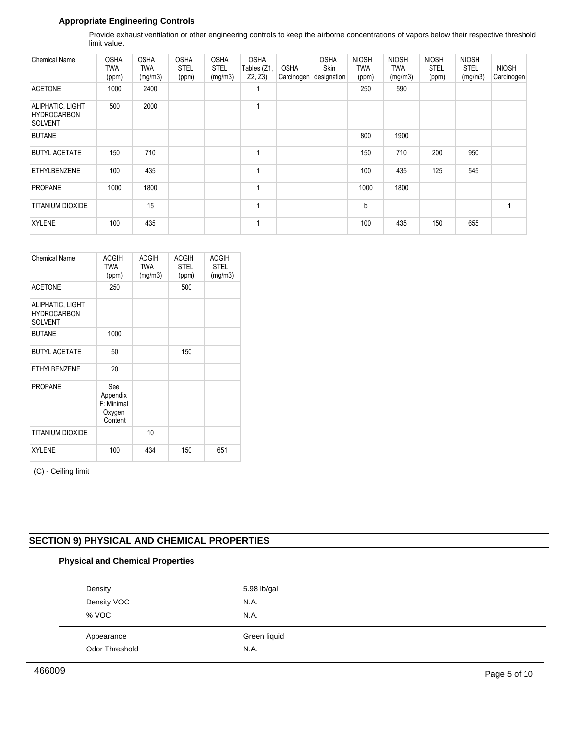### **Appropriate Engineering Controls**

Provide exhaust ventilation or other engineering controls to keep the airborne concentrations of vapors below their respective threshold limit value.

| <b>Chemical Name</b>                                     | <b>OSHA</b><br>TWA<br>(ppm) | <b>OSHA</b><br>TWA<br>(mg/m3) | <b>OSHA</b><br><b>STEL</b><br>(ppm) | <b>OSHA</b><br><b>STEL</b><br>(mg/m3) | <b>OSHA</b><br>Tables (Z1,<br>Z2, Z3 | <b>OSHA</b><br>Carcinogen | <b>OSHA</b><br><b>Skin</b><br>designation | <b>NIOSH</b><br><b>TWA</b><br>(ppm) | <b>NIOSH</b><br><b>TWA</b><br>(mg/m3) | <b>NIOSH</b><br><b>STEL</b><br>(ppm) | <b>NIOSH</b><br><b>STEL</b><br>(mg/m3) | <b>NIOSH</b><br>Carcinogen |
|----------------------------------------------------------|-----------------------------|-------------------------------|-------------------------------------|---------------------------------------|--------------------------------------|---------------------------|-------------------------------------------|-------------------------------------|---------------------------------------|--------------------------------------|----------------------------------------|----------------------------|
| <b>ACETONE</b>                                           | 1000                        | 2400                          |                                     |                                       |                                      |                           |                                           | 250                                 | 590                                   |                                      |                                        |                            |
| ALIPHATIC, LIGHT<br><b>HYDROCARBON</b><br><b>SOLVENT</b> | 500                         | 2000                          |                                     |                                       | 4                                    |                           |                                           |                                     |                                       |                                      |                                        |                            |
| <b>BUTANE</b>                                            |                             |                               |                                     |                                       |                                      |                           |                                           | 800                                 | 1900                                  |                                      |                                        |                            |
| <b>BUTYL ACETATE</b>                                     | 150                         | 710                           |                                     |                                       | 1                                    |                           |                                           | 150                                 | 710                                   | 200                                  | 950                                    |                            |
| <b>ETHYLBENZENE</b>                                      | 100                         | 435                           |                                     |                                       | 1                                    |                           |                                           | 100                                 | 435                                   | 125                                  | 545                                    |                            |
| <b>PROPANE</b>                                           | 1000                        | 1800                          |                                     |                                       | 4                                    |                           |                                           | 1000                                | 1800                                  |                                      |                                        |                            |
| <b>TITANIUM DIOXIDE</b>                                  |                             | 15                            |                                     |                                       | 1                                    |                           |                                           | b                                   |                                       |                                      |                                        |                            |
| <b>XYLENE</b>                                            | 100                         | 435                           |                                     |                                       | 1                                    |                           |                                           | 100                                 | 435                                   | 150                                  | 655                                    |                            |

| <b>Chemical Name</b>                                     | <b>ACGIH</b><br><b>TWA</b><br>(ppm)                | <b>ACGIH</b><br><b>TWA</b><br>(mg/m3) | <b>ACGIH</b><br><b>STEL</b><br>(ppm) | <b>ACGIH</b><br><b>STEL</b><br>(mg/m3) |
|----------------------------------------------------------|----------------------------------------------------|---------------------------------------|--------------------------------------|----------------------------------------|
| <b>ACETONE</b>                                           | 250                                                |                                       | 500                                  |                                        |
| ALIPHATIC, LIGHT<br><b>HYDROCARBON</b><br><b>SOLVENT</b> |                                                    |                                       |                                      |                                        |
| <b>BUTANE</b>                                            | 1000                                               |                                       |                                      |                                        |
| <b>BUTYL ACETATE</b>                                     | 50                                                 |                                       | 150                                  |                                        |
| <b>ETHYLBENZENE</b>                                      | 20                                                 |                                       |                                      |                                        |
| <b>PROPANE</b>                                           | See<br>Appendix<br>F: Minimal<br>Oxygen<br>Content |                                       |                                      |                                        |
| <b>TITANIUM DIOXIDE</b>                                  |                                                    | 10                                    |                                      |                                        |
| <b>XYLENE</b>                                            | 100                                                | 434                                   | 150                                  | 651                                    |

(C) - Ceiling limit

### **SECTION 9) PHYSICAL AND CHEMICAL PROPERTIES**

## **Physical and Chemical Properties** Appearance **Green Industrial Appearance Green Industrial Appearance** Odor Threshold N.A. Density 5.98 lb/gal Density VOC N.A. % VOC N.A.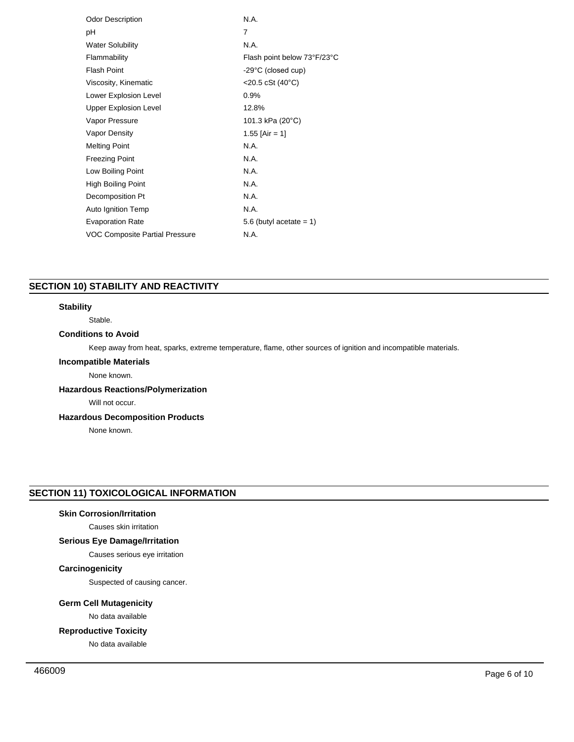| <b>Odor Description</b>        | N.A                            |
|--------------------------------|--------------------------------|
| рH                             | 7                              |
| <b>Water Solubility</b>        | N.A.                           |
| Flammability                   | Flash point below 73°F/23°C    |
| <b>Flash Point</b>             | -29°C (closed cup)             |
| Viscosity, Kinematic           | $<$ 20.5 cSt (40 $^{\circ}$ C) |
| Lower Explosion Level          | 0.9%                           |
| <b>Upper Explosion Level</b>   | 12.8%                          |
| Vapor Pressure                 | 101.3 kPa (20°C)               |
| Vapor Density                  | 1.55 [Air = 1]                 |
| <b>Melting Point</b>           | N.A                            |
| <b>Freezing Point</b>          | N.A                            |
| Low Boiling Point              | N.A                            |
| <b>High Boiling Point</b>      | N.A.                           |
| Decomposition Pt               | N.A.                           |
| Auto Ignition Temp             | N.A.                           |
| <b>Evaporation Rate</b>        | 5.6 (butyl acetate $= 1$ )     |
| VOC Composite Partial Pressure | N.A.                           |
|                                |                                |

### **SECTION 10) STABILITY AND REACTIVITY**

### **Stability**

Stable.

### **Conditions to Avoid**

Keep away from heat, sparks, extreme temperature, flame, other sources of ignition and incompatible materials.

### **Incompatible Materials**

None known.

### **Hazardous Reactions/Polymerization**

Will not occur.

### **Hazardous Decomposition Products**

None known.

### **SECTION 11) TOXICOLOGICAL INFORMATION**

### **Skin Corrosion/Irritation**

Causes skin irritation

### **Serious Eye Damage/Irritation**

### Causes serious eye irritation

### **Carcinogenicity**

Suspected of causing cancer.

### **Germ Cell Mutagenicity**

No data available

### **Reproductive Toxicity**

No data available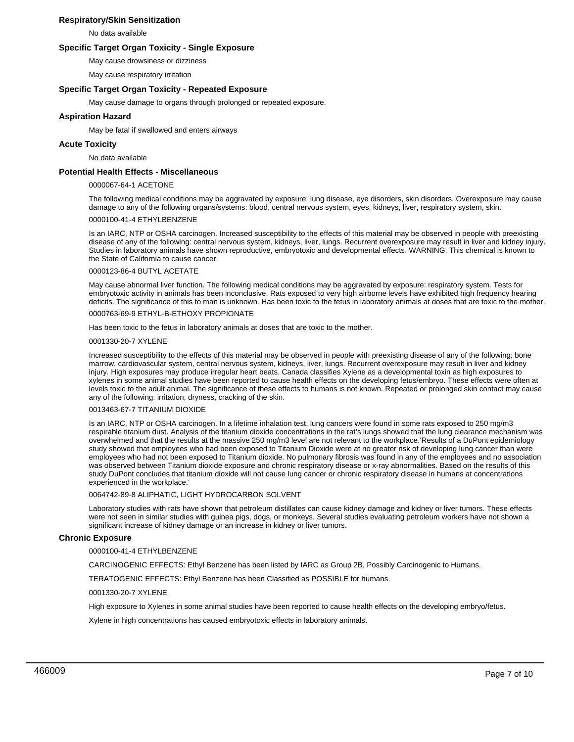### **Respiratory/Skin Sensitization**

No data available

### **Specific Target Organ Toxicity - Single Exposure**

May cause drowsiness or dizziness

May cause respiratory irritation

### **Specific Target Organ Toxicity - Repeated Exposure**

May cause damage to organs through prolonged or repeated exposure.

### **Aspiration Hazard**

May be fatal if swallowed and enters airways

### **Acute Toxicity**

No data available

### **Potential Health Effects - Miscellaneous**

#### 0000067-64-1 ACETONE

The following medical conditions may be aggravated by exposure: lung disease, eye disorders, skin disorders. Overexposure may cause damage to any of the following organs/systems: blood, central nervous system, eyes, kidneys, liver, respiratory system, skin.

### 0000100-41-4 ETHYLBENZENE

Is an IARC, NTP or OSHA carcinogen. Increased susceptibility to the effects of this material may be observed in people with preexisting disease of any of the following: central nervous system, kidneys, liver, lungs. Recurrent overexposure may result in liver and kidney injury. Studies in laboratory animals have shown reproductive, embryotoxic and developmental effects. WARNING: This chemical is known to the State of California to cause cancer.

#### 0000123-86-4 BUTYL ACETATE

May cause abnormal liver function. The following medical conditions may be aggravated by exposure: respiratory system. Tests for embryotoxic activity in animals has been inconclusive. Rats exposed to very high airborne levels have exhibited high frequency hearing deficits. The significance of this to man is unknown. Has been toxic to the fetus in laboratory animals at doses that are toxic to the mother.

### 0000763-69-9 ETHYL-B-ETHOXY PROPIONATE

Has been toxic to the fetus in laboratory animals at doses that are toxic to the mother.

#### 0001330-20-7 XYLENE

Increased susceptibility to the effects of this material may be observed in people with preexisting disease of any of the following: bone marrow, cardiovascular system, central nervous system, kidneys, liver, lungs. Recurrent overexposure may result in liver and kidney injury. High exposures may produce irregular heart beats. Canada classifies Xylene as a developmental toxin as high exposures to xylenes in some animal studies have been reported to cause health effects on the developing fetus/embryo. These effects were often at levels toxic to the adult animal. The significance of these effects to humans is not known. Repeated or prolonged skin contact may cause any of the following: irritation, dryness, cracking of the skin.

#### 0013463-67-7 TITANIUM DIOXIDE

Is an IARC, NTP or OSHA carcinogen. In a lifetime inhalation test, lung cancers were found in some rats exposed to 250 mg/m3 respirable titanium dust. Analysis of the titanium dioxide concentrations in the rat's lungs showed that the lung clearance mechanism was overwhelmed and that the results at the massive 250 mg/m3 level are not relevant to the workplace.'Results of a DuPont epidemiology study showed that employees who had been exposed to Titanium Dioxide were at no greater risk of developing lung cancer than were employees who had not been exposed to Titanium dioxide. No pulmonary fibrosis was found in any of the employees and no association was observed between Titanium dioxide exposure and chronic respiratory disease or x-ray abnormalities. Based on the results of this study DuPont concludes that titanium dioxide will not cause lung cancer or chronic respiratory disease in humans at concentrations experienced in the workplace.'

0064742-89-8 ALIPHATIC, LIGHT HYDROCARBON SOLVENT

Laboratory studies with rats have shown that petroleum distillates can cause kidney damage and kidney or liver tumors. These effects were not seen in similar studies with guinea pigs, dogs, or monkeys. Several studies evaluating petroleum workers have not shown a significant increase of kidney damage or an increase in kidney or liver tumors.

### **Chronic Exposure**

0000100-41-4 ETHYLBENZENE

CARCINOGENIC EFFECTS: Ethyl Benzene has been listed by IARC as Group 2B, Possibly Carcinogenic to Humans.

TERATOGENIC EFFECTS: Ethyl Benzene has been Classified as POSSIBLE for humans.

#### 0001330-20-7 XYLENE

High exposure to Xylenes in some animal studies have been reported to cause health effects on the developing embryo/fetus.

Xylene in high concentrations has caused embryotoxic effects in laboratory animals.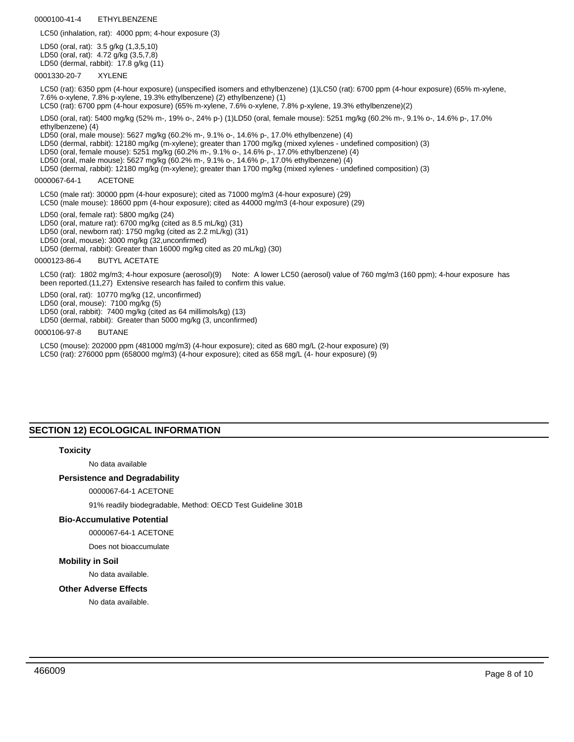0000100-41-4 ETHYLBENZENE

LC50 (inhalation, rat): 4000 ppm; 4-hour exposure (3)

LD50 (oral, rat): 3.5 g/kg (1,3,5,10) LD50 (oral, rat): 4.72 g/kg (3,5,7,8) LD50 (dermal, rabbit): 17.8 g/kg (11)

0001330-20-7 XYLENE

LC50 (rat): 6350 ppm (4-hour exposure) (unspecified isomers and ethylbenzene) (1)LC50 (rat): 6700 ppm (4-hour exposure) (65% m-xylene, 7.6% o-xylene, 7.8% p-xylene, 19.3% ethylbenzene) (2) ethylbenzene) (1)

LC50 (rat): 6700 ppm (4-hour exposure) (65% m-xylene, 7.6% o-xylene, 7.8% p-xylene, 19.3% ethylbenzene)(2)

LD50 (oral, rat): 5400 mg/kg (52% m-, 19% o-, 24% p-) (1)LD50 (oral, female mouse): 5251 mg/kg (60.2% m-, 9.1% o-, 14.6% p-, 17.0% ethylbenzene) (4)

LD50 (oral, male mouse): 5627 mg/kg (60.2% m-, 9.1% o-, 14.6% p-, 17.0% ethylbenzene) (4)

- LD50 (dermal, rabbit): 12180 mg/kg (m-xylene); greater than 1700 mg/kg (mixed xylenes undefined composition) (3)
- LD50 (oral, female mouse): 5251 mg/kg (60.2% m-, 9.1% o-, 14.6% p-, 17.0% ethylbenzene) (4)
- LD50 (oral, male mouse): 5627 mg/kg (60.2% m-, 9.1% o-, 14.6% p-, 17.0% ethylbenzene) (4)
- LD50 (dermal, rabbit): 12180 mg/kg (m-xylene); greater than 1700 mg/kg (mixed xylenes undefined composition) (3)

#### 0000067-64-1 ACETONE

- LC50 (male rat): 30000 ppm (4-hour exposure); cited as 71000 mg/m3 (4-hour exposure) (29)
- LC50 (male mouse): 18600 ppm (4-hour exposure); cited as 44000 mg/m3 (4-hour exposure) (29)

LD50 (oral, female rat): 5800 mg/kg (24)

- LD50 (oral, mature rat): 6700 mg/kg (cited as 8.5 mL/kg) (31)
- LD50 (oral, newborn rat): 1750 mg/kg (cited as 2.2 mL/kg) (31)
- LD50 (oral, mouse): 3000 mg/kg (32,unconfirmed)
- LD50 (dermal, rabbit): Greater than 16000 mg/kg cited as 20 mL/kg) (30)

0000123-86-4 BUTYL ACETATE

LC50 (rat): 1802 mg/m3; 4-hour exposure (aerosol)(9) Note: A lower LC50 (aerosol) value of 760 mg/m3 (160 ppm); 4-hour exposure has been reported.(11,27) Extensive research has failed to confirm this value.

- LD50 (oral, rat): 10770 mg/kg (12, unconfirmed)
- LD50 (oral, mouse): 7100 mg/kg (5)
- LD50 (oral, rabbit): 7400 mg/kg (cited as 64 millimols/kg) (13)

LD50 (dermal, rabbit): Greater than 5000 mg/kg (3, unconfirmed)

#### 0000106-97-8 BUTANE

LC50 (mouse): 202000 ppm (481000 mg/m3) (4-hour exposure); cited as 680 mg/L (2-hour exposure) (9) LC50 (rat): 276000 ppm (658000 mg/m3) (4-hour exposure); cited as 658 mg/L (4- hour exposure) (9)

### **SECTION 12) ECOLOGICAL INFORMATION**

#### **Toxicity**

No data available

#### **Persistence and Degradability**

### 0000067-64-1 ACETONE

91% readily biodegradable, Method: OECD Test Guideline 301B

### **Bio-Accumulative Potential**

0000067-64-1 ACETONE

Does not bioaccumulate

### **Mobility in Soil**

No data available.

#### **Other Adverse Effects**

No data available.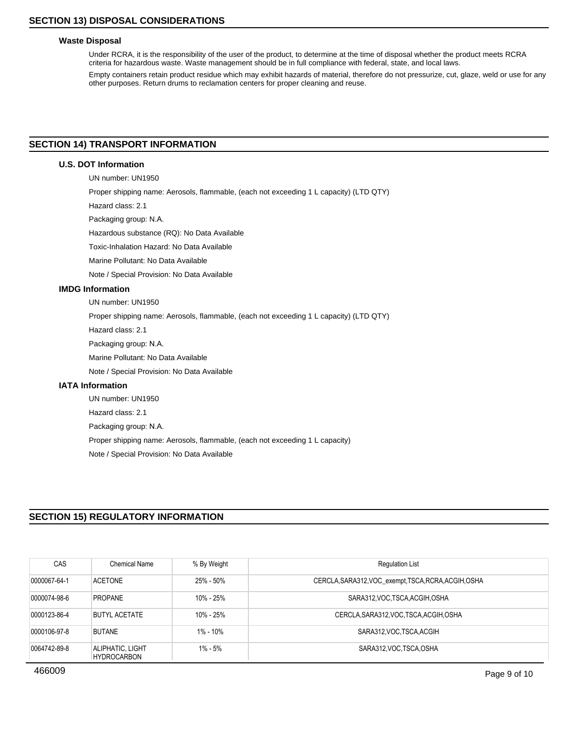### **Waste Disposal**

Under RCRA, it is the responsibility of the user of the product, to determine at the time of disposal whether the product meets RCRA criteria for hazardous waste. Waste management should be in full compliance with federal, state, and local laws.

Empty containers retain product residue which may exhibit hazards of material, therefore do not pressurize, cut, glaze, weld or use for any other purposes. Return drums to reclamation centers for proper cleaning and reuse.

### **SECTION 14) TRANSPORT INFORMATION**

### **U.S. DOT Information**

UN number: UN1950

Proper shipping name: Aerosols, flammable, (each not exceeding 1 L capacity) (LTD QTY)

Hazard class: 2.1

Packaging group: N.A.

Hazardous substance (RQ): No Data Available

Toxic-Inhalation Hazard: No Data Available

Marine Pollutant: No Data Available

Note / Special Provision: No Data Available

### **IMDG Information**

UN number: UN1950

Proper shipping name: Aerosols, flammable, (each not exceeding 1 L capacity) (LTD QTY)

Hazard class: 2.1

Packaging group: N.A.

Marine Pollutant: No Data Available

Note / Special Provision: No Data Available

### **IATA Information**

UN number: UN1950 Hazard class: 2.1 Packaging group: N.A. Proper shipping name: Aerosols, flammable, (each not exceeding 1 L capacity) Note / Special Provision: No Data Available

### **SECTION 15) REGULATORY INFORMATION**

| CAS          | <b>Chemical Name</b>                   | % By Weight | <b>Regulation List</b>                               |
|--------------|----------------------------------------|-------------|------------------------------------------------------|
| 0000067-64-1 | <b>ACETONE</b>                         | 25% - 50%   | CERCLA, SARA312, VOC_exempt, TSCA, RCRA, ACGIH, OSHA |
| 0000074-98-6 | <b>PROPANE</b>                         | 10% - 25%   | SARA312, VOC, TSCA, ACGIH, OSHA                      |
| 0000123-86-4 | <b>BUTYL ACETATE</b>                   | 10% - 25%   | CERCLA, SARA312, VOC, TSCA, ACGIH, OSHA              |
| 0000106-97-8 | <b>BUTANE</b>                          | 1% - 10%    | SARA312, VOC. TSCA, ACGIH                            |
| 0064742-89-8 | ALIPHATIC, LIGHT<br><b>HYDROCARBON</b> | 1% - 5%     | SARA312, VOC, TSCA, OSHA                             |